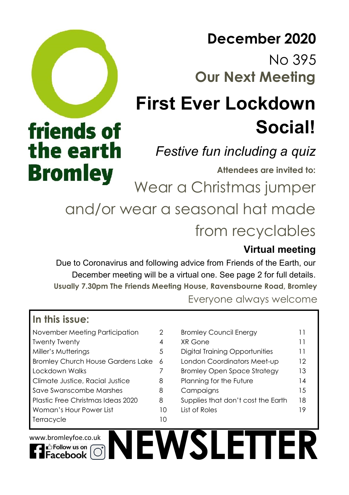# **Our Next Meeting December 2020** No 395

# **First Ever Lockdown Social!**

# *Festive fun including a quiz*

**Attendees are invited to:** 

**Bromley**<br>Wear a Christmas jumper

and/or wear a seasonal hat made from recyclables

# **Virtual meeting**

Due to Coronavirus and following advice from Friends of the Earth, our December meeting will be a virtual one. See page 2 for full details. **Usually 7.30pm The Friends Meeting House, Ravensbourne Road, Bromley**

Everyone always welcome

# **In this issue:**

friends of

the earth

| November Meeting Participation           | 2  |
|------------------------------------------|----|
| <b>Twenty Twenty</b>                     | 4  |
| Miller's Mutterings                      | 5  |
| <b>Bromley Church House Gardens Lake</b> | 6  |
| Lockdown Walks                           | 7  |
| Climate Justice, Racial Justice          | 8  |
| Save Swanscombe Marshes                  | 8  |
| Plastic Free Christmas Ideas 2020        | 8  |
| Woman's Hour Power List                  | 10 |
| Terracycle                               | 10 |
|                                          |    |

| November Meeting Participation      | 2  | <b>Bromley Council Energy</b>         |                 |
|-------------------------------------|----|---------------------------------------|-----------------|
| Twenty Twenty                       | 4  | XR Gone                               | 11              |
| Miller's Mutterings                 | 5  | <b>Digital Training Opportunities</b> | 11              |
| Bromley Church House Gardens Lake 6 |    | London Coordinators Meet-up           | $12 \ \mathrm{$ |
| Lockdown Walks                      |    | <b>Bromley Open Space Strategy</b>    | 13              |
| Climate Justice, Racial Justice     | 8  | Planning for the Future               | 14              |
| Save Swanscombe Marshes             | 8  | Campaigns                             | 1.5             |
| Plastic Free Christmas Ideas 2020   | 8  | Supplies that don't cost the Earth    | 18              |
| Woman's Hour Power List             | 10 | List of Roles                         | 19              |
| Terracvcle                          | 10 |                                       |                 |

**NEWSLETTER**

www.bromleyfoe.co.uk

∎<sup>1</sup> Follow us on acebook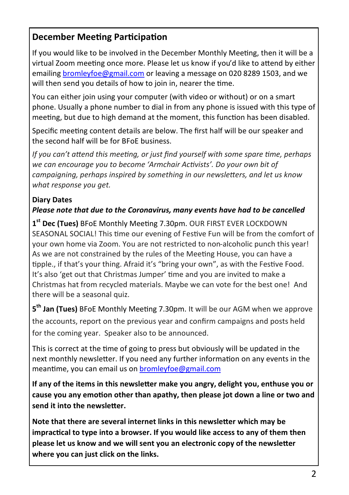# **December Meeting Participation**

If you would like to be involved in the December Monthly Meeting, then it will be a virtual Zoom meeting once more. Please let us know if you'd like to attend by either emailing [bromleyfoe@gmail.com](mailto:bromleyfoe@gmail.com) or leaving a message on 020 8289 1503, and we will then send you details of how to join in, nearer the time.

You can either join using your computer (with video or without) or on a smart phone. Usually a phone number to dial in from any phone is issued with this type of meeting, but due to high demand at the moment, this function has been disabled.

Specific meeting content details are below. The first half will be our speaker and the second half will be for BFoE business.

*If you can't attend this meeting, or just find yourself with some spare time, perhaps we can encourage you to become 'Armchair Activists'. Do your own bit of campaigning, perhaps inspired by something in our newsletters, and let us know what response you get.*

#### **Diary Dates**

#### *Please note that due to the Coronavirus, many events have had to be cancelled*

**1 st Dec (Tues)** BFoE Monthly Meeting 7.30pm. OUR FIRST EVER LOCKDOWN SEASONAL SOCIAL! This time our evening of Festive Fun will be from the comfort of your own home via Zoom. You are not restricted to non-alcoholic punch this year! As we are not constrained by the rules of the Meeting House, you can have a tipple., if that's your thing. Afraid it's "bring your own", as with the Festive Food. It's also 'get out that Christmas Jumper' time and you are invited to make a Christmas hat from recycled materials. Maybe we can vote for the best one! And there will be a seasonal quiz.

**5 th Jan (Tues)** BFoE Monthly Meeting 7.30pm. It will be our AGM when we approve the accounts, report on the previous year and confirm campaigns and posts held for the coming year. Speaker also to be announced.

This is correct at the time of going to press but obviously will be updated in the next monthly newsletter. If you need any further information on any events in the meantime, you can email us on [bromleyfoe@gmail.com](mailto:bromleyfoe@gmail.com)

**If any of the items in this newsletter make you angry, delight you, enthuse you or cause you any emotion other than apathy, then please jot down a line or two and send it into the newsletter.**

**Note that there are several internet links in this newsletter which may be impractical to type into a browser. If you would like access to any of them then please let us know and we will sent you an electronic copy of the newsletter where you can just click on the links.**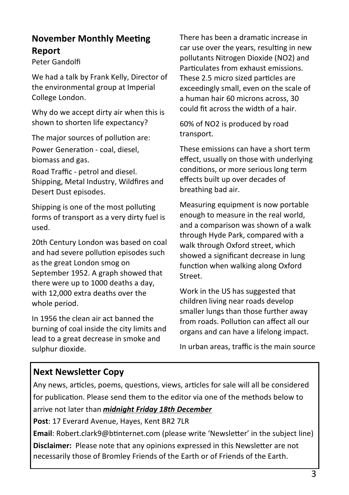## **November Monthly Meeting Report**

Peter Gandolfi

We had a talk by Frank Kelly, Director of the environmental group at Imperial College London.

Why do we accept dirty air when this is shown to shorten life expectancy?

The major sources of pollution are: Power Generation - coal, diesel, biomass and gas.

Road Traffic - petrol and diesel. Shipping, Metal Industry, Wildfires and Desert Dust episodes.

Shipping is one of the most polluting forms of transport as a very dirty fuel is used.

20th Century London was based on coal and had severe pollution episodes such as the great London smog on September 1952. A graph showed that there were up to 1000 deaths a day, with 12,000 extra deaths over the whole period.

In 1956 the clean air act banned the burning of coal inside the city limits and lead to a great decrease in smoke and sulphur dioxide.

There has been a dramatic increase in car use over the years, resulting in new pollutants Nitrogen Dioxide (NO2) and Particulates from exhaust emissions. These 2.5 micro sized particles are exceedingly small, even on the scale of a human hair 60 microns across, 30 could fit across the width of a hair.

60% of NO2 is produced by road transport.

These emissions can have a short term effect, usually on those with underlying conditions, or more serious long term effects built up over decades of breathing bad air.

Measuring equipment is now portable enough to measure in the real world, and a comparison was shown of a walk through Hyde Park, compared with a walk through Oxford street, which showed a significant decrease in lung function when walking along Oxford Street.

Work in the US has suggested that children living near roads develop smaller lungs than those further away from roads. Pollution can affect all our organs and can have a lifelong impact.

In urban areas, traffic is the main source

# **Next Newsletter Copy**

Any news, articles, poems, questions, views, articles for sale will all be considered for publication. Please send them to the editor via one of the methods below to

arrive not later than *midnight Friday 18th December*

**Post**: 17 Everard Avenue, Hayes, Kent BR2 7LR

**Email**: Robert.clark9@btinternet.com (please write 'Newsletter' in the subject line) **Disclaimer:** Please note that any opinions expressed in this Newsletter are not necessarily those of Bromley Friends of the Earth or of Friends of the Earth.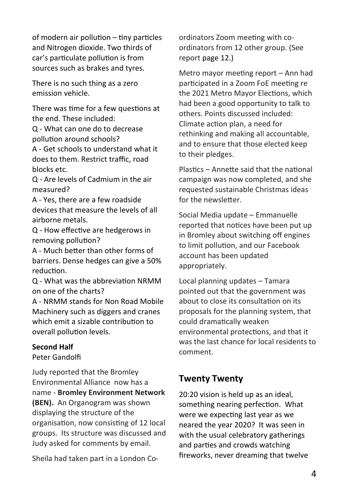of modern air pollution – tiny particles and Nitrogen dioxide. Two thirds of car's particulate pollution is from sources such as brakes and tyres.

There is no such thing as a zero emission vehicle.

There was time for a few questions at the end. These included:

Q - What can one do to decrease pollution around schools?

A - Get schools to understand what it does to them. Restrict traffic, road blocks etc.

Q - Are levels of Cadmium in the air measured?

A - Yes, there are a few roadside devices that measure the levels of all airborne metals.

Q - How effective are hedgerows in removing pollution?

A - Much better than other forms of barriers. Dense hedges can give a 50% reduction.

Q - What was the abbreviation NRMM on one of the charts?

A - NRMM stands for Non Road Mobile Machinery such as diggers and cranes which emit a sizable contribution to overall pollution levels.

#### **Second Half**

Peter Gandolfi

Judy reported that the Bromley Environmental Alliance now has a name - **Bromley Environment Network (BEN).** An Organogram was shown displaying the structure of the organisation, now consisting of 12 local groups. Its structure was discussed and Judy asked for comments by email.

Sheila had taken part in a London Co-

ordinators Zoom meeting with coordinators from 12 other group. (See report page 12.)

Metro mayor meeting report – Ann had participated in a Zoom FoE meeting re the 2021 Metro Mayor Elections, which had been a good opportunity to talk to others. Points discussed included: Climate action plan, a need for rethinking and making all accountable, and to ensure that those elected keep to their pledges.

Plastics – Annette said that the national campaign was now completed, and she requested sustainable Christmas ideas for the newsletter

Social Media update – Emmanuelle reported that notices have been put up in Bromley about switching off engines to limit pollution, and our Facebook account has been updated appropriately.

Local planning updates – Tamara pointed out that the government was about to close its consultation on its proposals for the planning system, that could dramatically weaken environmental protections, and that it was the last chance for local residents to comment.

# **Twenty Twenty**

20:20 vision is held up as an ideal, something nearing perfection. What were we expecting last year as we neared the year 2020? It was seen in with the usual celebratory gatherings and parties and crowds watching fireworks, never dreaming that twelve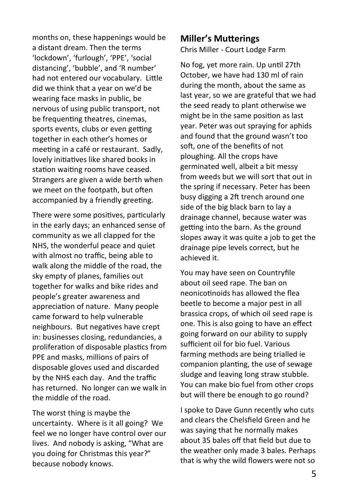months on, these happenings would be a distant dream. Then the terms 'lockdown', 'furlough', 'PPE', 'social distancing', 'bubble', and 'R number' had not entered our vocabulary. Little did we think that a year on we'd be wearing face masks in public, be nervous of using public transport, not be frequenting theatres, cinemas, sports events, clubs or even getting together in each other's homes or meeting in a café or restaurant. Sadly, lovely initiatives like shared books in station waiting rooms have ceased. Strangers are given a wide berth when we meet on the footpath, but often accompanied by a friendly greeting.

There were some positives, particularly in the early days; an enhanced sense of community as we all clapped for the NHS, the wonderful peace and quiet with almost no traffic, being able to walk along the middle of the road, the sky empty of planes, families out together for walks and bike rides and people's greater awareness and appreciation of nature. Many people came forward to help vulnerable neighbours. But negatives have crept in: businesses closing, redundancies, a proliferation of disposable plastics from PPE and masks, millions of pairs of disposable gloves used and discarded by the NHS each day. And the traffic has returned. No longer can we walk in the middle of the road.

The worst thing is maybe the uncertainty. Where is it all going? We feel we no longer have control over our lives. And nobody is asking, "What are you doing for Christmas this year?" because nobody knows.

#### **Miller's Mutterings**

Chris Miller - Court Lodge Farm

No fog, yet more rain. Up until 27th October, we have had 130 ml of rain during the month, about the same as last year, so we are grateful that we had the seed ready to plant otherwise we might be in the same position as last year. Peter was out spraying for aphids and found that the ground wasn't too soft, one of the benefits of not ploughing. All the crops have germinated well, albeit a bit messy from weeds but we will sort that out in the spring if necessary. Peter has been busy digging a 2ft trench around one side of the big black barn to lay a drainage channel, because water was getting into the barn. As the ground slopes away it was quite a job to get the drainage pipe levels correct, but he achieved it.

You may have seen on Countryfile about oil seed rape. The ban on neonicotinoids has allowed the flea beetle to become a major pest in all brassica crops, of which oil seed rape is one. This is also going to have an effect going forward on our ability to supply sufficient oil for bio fuel. Various farming methods are being trialled ie companion planting, the use of sewage sludge and leaving long straw stubble. You can make bio fuel from other crops but will there be enough to go round?

I spoke to Dave Gunn recently who cuts and clears the Chelsfield Green and he was saying that he normally makes about 35 bales off that field but due to the weather only made 3 bales. Perhaps that is why the wild flowers were not so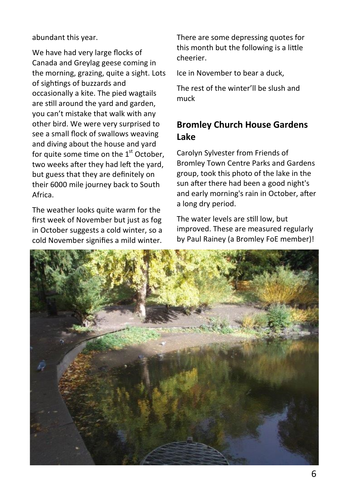abundant this year.

We have had very large flocks of Canada and Greylag geese coming in the morning, grazing, quite a sight. Lots of sightings of buzzards and occasionally a kite. The pied wagtails are still around the yard and garden, you can't mistake that walk with any other bird. We were very surprised to see a small flock of swallows weaving and diving about the house and yard for quite some time on the  $1<sup>st</sup>$  October. two weeks after they had left the yard, but guess that they are definitely on their 6000 mile journey back to South Africa.

The weather looks quite warm for the first week of November but just as fog in October suggests a cold winter, so a cold November signifies a mild winter.

There are some depressing quotes for this month but the following is a little cheerier.

Ice in November to bear a duck,

The rest of the winter'll be slush and muck

# **Bromley Church House Gardens Lake**

Carolyn Sylvester from Friends of Bromley Town Centre Parks and Gardens group, took this photo of the lake in the sun after there had been a good night's and early morning's rain in October, after a long dry period.

The water levels are still low, but improved. These are measured regularly by Paul Rainey (a Bromley FoE member)!

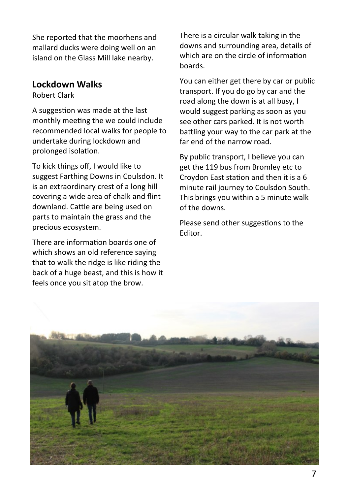She reported that the moorhens and mallard ducks were doing well on an island on the Glass Mill lake nearby.

#### **Lockdown Walks**

Robert Clark

A suggestion was made at the last monthly meeting the we could include recommended local walks for people to undertake during lockdown and prolonged isolation.

To kick things off, I would like to suggest Farthing Downs in Coulsdon. It is an extraordinary crest of a long hill covering a wide area of chalk and flint downland. Cattle are being used on parts to maintain the grass and the precious ecosystem.

There are information boards one of which shows an old reference saying that to walk the ridge is like riding the back of a huge beast, and this is how it feels once you sit atop the brow.

There is a circular walk taking in the downs and surrounding area, details of which are on the circle of information boards.

You can either get there by car or public transport. If you do go by car and the road along the down is at all busy, I would suggest parking as soon as you see other cars parked. It is not worth battling your way to the car park at the far end of the narrow road.

By public transport, I believe you can get the 119 bus from Bromley etc to Croydon East station and then it is a 6 minute rail journey to Coulsdon South. This brings you within a 5 minute walk of the downs.

Please send other suggestions to the Editor.

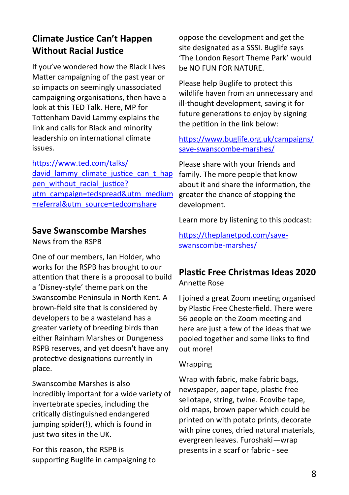# **Climate Justice Can't Happen Without Racial Justice**

If you've wondered how the Black Lives Matter campaigning of the past year or so impacts on seemingly unassociated campaigning organisations, then have a look at this TED Talk. Here, MP for Tottenham David Lammy explains the link and calls for Black and minority leadership on international climate issues.

[https://www.ted.com/talks/](https://www.ted.com/talks/david_lammy_climate_justice_can_t_happen_without_racial_justice?utm_campaign=tedspread&utm_medium=referral&utm_source=tedcomshare) david lammy climate justice can t hap [pen\\_without\\_racial\\_justice?](https://www.ted.com/talks/david_lammy_climate_justice_can_t_happen_without_racial_justice?utm_campaign=tedspread&utm_medium=referral&utm_source=tedcomshare) [utm\\_campaign=tedspread&utm\\_medium](https://www.ted.com/talks/david_lammy_climate_justice_can_t_happen_without_racial_justice?utm_campaign=tedspread&utm_medium=referral&utm_source=tedcomshare) [=referral&utm\\_source=tedcomshare](https://www.ted.com/talks/david_lammy_climate_justice_can_t_happen_without_racial_justice?utm_campaign=tedspread&utm_medium=referral&utm_source=tedcomshare)

#### **Save Swanscombe Marshes**

News from the RSPB

One of our members, Ian Holder, who works for the RSPB has brought to our attention that there is a proposal to build a 'Disney-style' theme park on the Swanscombe Peninsula in North Kent. A brown-field site that is considered by developers to be a wasteland has a greater variety of breeding birds than either Rainham Marshes or Dungeness RSPB reserves, and yet doesn't have any protective designations currently in place.

Swanscombe Marshes is also incredibly important for a wide variety of invertebrate species, including the critically distinguished endangered jumping spider(!), which is found in just two sites in the UK.

For this reason, the RSPB is supporting Buglife in campaigning to oppose the development and get the site designated as a SSSI. Buglife says 'The London Resort Theme Park' would be NO FUN FOR NATURE.

Please help Buglife to protect this wildlife haven from an unnecessary and ill-thought development, saving it for future generations to enjoy by signing the petition in the link below:

#### [https://www.buglife.org.uk/campaigns/](https://www.buglife.org.uk/campaigns/save-swanscombe-marshes/) save-[swanscombe](https://www.buglife.org.uk/campaigns/save-swanscombe-marshes/)-marshes/

Please share with your friends and family. The more people that know about it and share the information, the greater the chance of stopping the development.

Learn more by listening to this podcast:

[https://theplanetpod.com/save](https://theplanetpod.com/save-swanscombe-marshes/)[swanscombe](https://theplanetpod.com/save-swanscombe-marshes/)-marshes/

#### **Plastic Free Christmas Ideas 2020** Annette Rose

I joined a great Zoom meeting organised by Plastic Free Chesterfield. There were 56 people on the Zoom meeting and here are just a few of the ideas that we pooled together and some links to find out more!

#### Wrapping

Wrap with fabric, make fabric bags, newspaper, paper tape, plastic free sellotape, string, twine. Ecovibe tape, old maps, brown paper which could be printed on with potato prints, decorate with pine cones, dried natural materials, evergreen leaves. Furoshaki—wrap presents in a scarf or fabric - see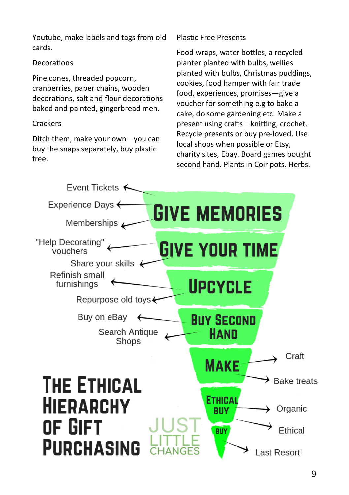Youtube, make labels and tags from old cards.

#### **Decorations**

Pine cones, threaded popcorn, cranberries, paper chains, wooden decorations, salt and flour decorations baked and painted, gingerbread men.

#### **Crackers**

Ditch them, make your own—you can buy the snaps separately, buy plastic free.

#### Plastic Free Presents

Food wraps, water bottles, a recycled planter planted with bulbs, wellies planted with bulbs, Christmas puddings, cookies, food hamper with fair trade food, experiences, promises—give a voucher for something e.g to bake a cake, do some gardening etc. Make a present using crafts—knitting, crochet. Recycle presents or buy pre-loved. Use local shops when possible or Etsy, charity sites, Ebay. Board games bought second hand. Plants in Coir pots. Herbs.

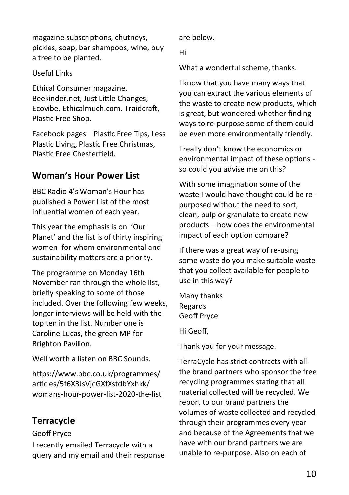magazine subscriptions, chutneys, pickles, soap, bar shampoos, wine, buy a tree to be planted.

#### Useful Links

Ethical Consumer magazine, Beekinder.net, Just Little Changes, Ecovibe, Ethicalmuch.com. Traidcraft, Plastic Free Shop.

Facebook pages—Plastic Free Tips, Less Plastic Living, Plastic Free Christmas, Plastic Free Chesterfield.

# **Woman's Hour Power List**

BBC Radio 4's Woman's Hour has published a Power List of the most influential women of each year.

This year the emphasis is on 'Our Planet' and the list is of thirty inspiring women for whom environmental and sustainability matters are a priority.

The programme on Monday 16th November ran through the whole list, briefly speaking to some of those included. Over the following few weeks, longer interviews will be held with the top ten in the list. Number one is Caroline Lucas, the green MP for Brighton Pavilion.

Well worth a listen on BBC Sounds.

https://www.bbc.co.uk/programmes/ articles/5f6X3JsVjcGXfXstdbYxhkk/ womans-hour-power-list-2020-the-list

# **Terracycle**

Geoff Pryce

I recently emailed Terracycle with a query and my email and their response are below.

Hi

What a wonderful scheme, thanks.

I know that you have many ways that you can extract the various elements of the waste to create new products, which is great, but wondered whether finding ways to re-purpose some of them could be even more environmentally friendly.

I really don't know the economics or environmental impact of these options so could you advise me on this?

With some imagination some of the waste I would have thought could be repurposed without the need to sort, clean, pulp or granulate to create new products – how does the environmental impact of each option compare?

If there was a great way of re-using some waste do you make suitable waste that you collect available for people to use in this way?

Many thanks Regards Geoff Pryce

Hi Geoff,

Thank you for your message.

TerraCycle has strict contracts with all the brand partners who sponsor the free recycling programmes stating that all material collected will be recycled. We report to our brand partners the volumes of waste collected and recycled through their programmes every year and because of the Agreements that we have with our brand partners we are unable to re-purpose. Also on each of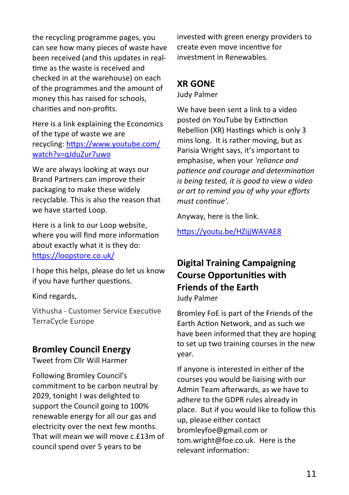the recycling programme pages, you can see how many pieces of waste have been received (and this updates in realtime as the waste is received and checked in at the warehouse) on each of the programmes and the amount of money this has raised for schools, charities and non-profits.

Here is a link explaining the Economics of the type of waste we are recycling: [https://www.youtube.com/](https://eur06.safelinks.protection.outlook.com/?url=https%3A%2F%2Fwww.youtube.com%2Fwatch%3Fv%3DqJduZur7uwo&data=02%7C01%7C%7Ca1b76a1f79fb4de1d21808d85640191f%7C84df9e7fe9f640afb435aaaaaaaaaaaa%7C1%7C0%7C637354180580506806&sdata=GDnQSyogW4D1OUC7KEnLBvhySvJz0q) [watch?v=qJduZur7uwo](https://eur06.safelinks.protection.outlook.com/?url=https%3A%2F%2Fwww.youtube.com%2Fwatch%3Fv%3DqJduZur7uwo&data=02%7C01%7C%7Ca1b76a1f79fb4de1d21808d85640191f%7C84df9e7fe9f640afb435aaaaaaaaaaaa%7C1%7C0%7C637354180580506806&sdata=GDnQSyogW4D1OUC7KEnLBvhySvJz0q)

We are always looking at ways our Brand Partners can improve their packaging to make these widely recyclable. This is also the reason that we have started Loop.

Here is a link to our Loop website, where you will find more information about exactly what it is they do: [https://loopstore.co.uk/](https://eur06.safelinks.protection.outlook.com/?url=https%3A%2F%2Floopstore.co.uk%2F&data=02%7C01%7C%7Ca1b76a1f79fb4de1d21808d85640191f%7C84df9e7fe9f640afb435aaaaaaaaaaaa%7C1%7C0%7C637354180580506806&sdata=VDCHikKsJxK0GilyUJqR%2BCPc6mws6ddUdJDqhESJdY0%3D&rese)

I hope this helps, please do let us know if you have further questions.

Kind regards,

Vithusha - Customer Service Executive TerraCycle Europe

#### **Bromley Council Energy**

Tweet from Cllr Will Harmer

Following Bromley Council's commitment to be carbon neutral by 2029, tonight I was delighted to support the Council going to 100% renewable energy for all our gas and electricity over the next few months. That will mean we will move c.£13m of council spend over 5 years to be

invested with green energy providers to create even move incentive for investment in Renewables.

### **XR GONE**

Judy Palmer

We have been sent a link to a video posted on YouTube by Extinction Rebellion (XR) Hastings which is only 3 mins long. It is rather moving, but as Parisia Wright says, it's important to emphasise, when your *'reliance and patience and courage and determination is being tested, it is good to view a video or art to remind you of why your efforts must continue'.*

Anyway, here is the link.

<https://youtu.be/HZijjWAVAE8>

# **Digital Training Campaigning Course Opportunities with Friends of the Earth**

Judy Palmer

Bromley FoE is part of the Friends of the Earth Action Network, and as such we have been informed that they are hoping to set up two training courses in the new year.

If anyone is interested in either of the courses you would be liaising with our Admin Team afterwards, as we have to adhere to the GDPR rules already in place. But if you would like to follow this up, please either contact [bromleyfoe@gmail.com](mailto:bromleyfoe@gmail.com) or [tom.wright@foe.co.uk.](mailto:tom.wright@foe.co.uk) Here is the relevant information: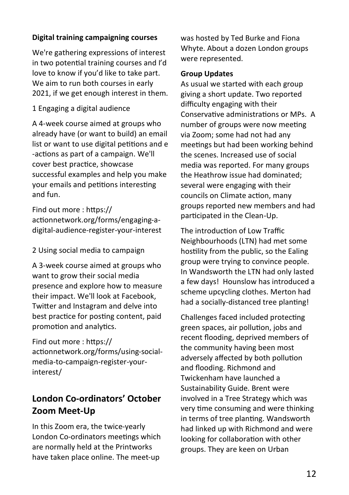#### **Digital training campaigning courses**

We're gathering expressions of interest in two potential training courses and I'd love to know if you'd like to take part. We aim to run both courses in early 2021, if we get enough interest in them.

1 Engaging a digital audience

A 4-week course aimed at groups who already have (or want to build) an email list or want to use digital petitions and e -actions as part of a campaign. We'll cover best practice, showcase successful examples and help you make your emails and petitions interesting and fun.

Find out more : https:// actionnetwork.org/forms/engaging-adigital-audience-register-your-interest

2 Using social media to campaign

A 3-week course aimed at groups who want to grow their social media presence and explore how to measure their impact. We'll look at Facebook, Twitter and Instagram and delve into best practice for posting content, paid promotion and analytics.

Find out more : https:// actionnetwork.org/forms/using-socialmedia-to-campaign-register-yourinterest/

# **London Co-ordinators' October Zoom Meet-Up**

In this Zoom era, the twice-yearly London Co-ordinators meetings which are normally held at the Printworks have taken place online. The meet-up

was hosted by Ted Burke and Fiona Whyte. About a dozen London groups were represented.

#### **Group Updates**

As usual we started with each group giving a short update. Two reported difficulty engaging with their Conservative administrations or MPs. A number of groups were now meeting via Zoom; some had not had any meetings but had been working behind the scenes. Increased use of social media was reported. For many groups the Heathrow issue had dominated; several were engaging with their councils on Climate action, many groups reported new members and had participated in the Clean-Up.

The introduction of Low Traffic Neighbourhoods (LTN) had met some hostility from the public, so the Ealing group were trying to convince people. In Wandsworth the LTN had only lasted a few days! Hounslow has introduced a scheme upcycling clothes. Merton had had a socially-distanced tree planting!

Challenges faced included protecting green spaces, air pollution, jobs and recent flooding, deprived members of the community having been most adversely affected by both pollution and flooding. Richmond and Twickenham have launched a Sustainability Guide. Brent were involved in a Tree Strategy which was very time consuming and were thinking in terms of tree planting. Wandsworth had linked up with Richmond and were looking for collaboration with other groups. They are keen on Urban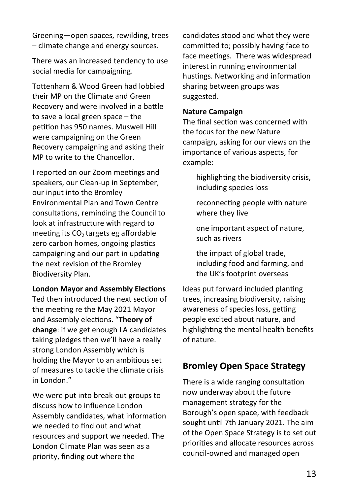Greening—open spaces, rewilding, trees – climate change and energy sources.

There was an increased tendency to use social media for campaigning.

Tottenham & Wood Green had lobbied their MP on the Climate and Green Recovery and were involved in a battle to save a local green space – the petition has 950 names. Muswell Hill were campaigning on the Green Recovery campaigning and asking their MP to write to the Chancellor.

I reported on our Zoom meetings and speakers, our Clean-up in September, our input into the Bromley Environmental Plan and Town Centre consultations, reminding the Council to look at infrastructure with regard to meeting its  $CO<sub>2</sub>$  targets eg affordable zero carbon homes, ongoing plastics campaigning and our part in updating the next revision of the Bromley Biodiversity Plan.

#### **London Mayor and Assembly Elections**

Ted then introduced the next section of the meeting re the May 2021 Mayor and Assembly elections. "**Theory of change**: if we get enough LA candidates taking pledges then we'll have a really strong London Assembly which is holding the Mayor to an ambitious set of measures to tackle the climate crisis in London."

We were put into break-out groups to discuss how to influence London Assembly candidates, what information we needed to find out and what resources and support we needed. The London Climate Plan was seen as a priority, finding out where the

candidates stood and what they were committed to; possibly having face to face meetings. There was widespread interest in running environmental hustings. Networking and information sharing between groups was suggested.

#### **Nature Campaign**

The final section was concerned with the focus for the new Nature campaign, asking for our views on the importance of various aspects, for example:

- highlighting the biodiversity crisis, including species loss
- reconnecting people with nature where they live

one important aspect of nature, such as rivers

the impact of global trade, including food and farming, and the UK's footprint overseas

Ideas put forward included planting trees, increasing biodiversity, raising awareness of species loss, getting people excited about nature, and highlighting the mental health benefits of nature.

#### **Bromley Open Space Strategy**

There is a wide ranging consultation now underway about the future management strategy for the Borough's open space, with feedback sought until 7th January 2021. The aim of the Open Space Strategy is to set out priorities and allocate resources across council-owned and managed open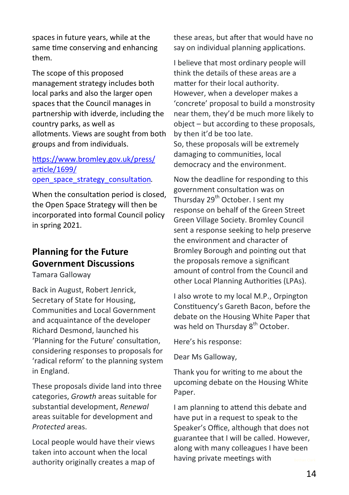spaces in future years, while at the same time conserving and enhancing them.

The scope of this proposed management strategy includes both local parks and also the larger open spaces that the Council manages in partnership with idverde, including the country parks, as well as allotments. Views are sought from both groups and from individuals.

#### [https://www.bromley.gov.uk/press/](https://www.bromley.gov.uk/press/article/1699/open_space_strategy_consultation) [article/1699/](https://www.bromley.gov.uk/press/article/1699/open_space_strategy_consultation) open space strategy consultation.

When the consultation period is closed. the Open Space Strategy will then be incorporated into formal Council policy in spring 2021.

# **Planning for the Future Government Discussions**

Tamara Galloway

Back in August, Robert Jenrick, Secretary of State for Housing, Communities and Local Government and acquaintance of the developer Richard Desmond, launched his 'Planning for the Future' consultation, considering responses to proposals for 'radical reform' to the planning system in England.

These proposals divide land into three categories, *Growth* areas suitable for substantial development, *Renewal* areas suitable for development and *Protected* areas.

Local people would have their views taken into account when the local authority originally creates a map of these areas, but after that would have no say on individual planning applications.

I believe that most ordinary people will think the details of these areas are a matter for their local authority. However, when a developer makes a 'concrete' proposal to build a monstrosity near them, they'd be much more likely to object – but according to these proposals, by then it'd be too late. So, these proposals will be extremely damaging to communities, local democracy and the environment.

Now the deadline for responding to this government consultation was on Thursday 29<sup>th</sup> October. I sent my response on behalf of the Green Street Green Village Society. Bromley Council sent a response seeking to help preserve the environment and character of Bromley Borough and pointing out that the proposals remove a significant amount of control from the Council and other Local Planning Authorities (LPAs).

I also wrote to my local M.P., Orpington Constituency's Gareth Bacon, before the debate on the Housing White Paper that was held on Thursday 8<sup>th</sup> October.

Here's his response:

Dear Ms Galloway,

Thank you for writing to me about the upcoming debate on the Housing White Paper.

I am planning to attend this debate and have put in a request to speak to the Speaker's Office, although that does not guarantee that I will be called. However, along with many colleagues I have been having private meetings with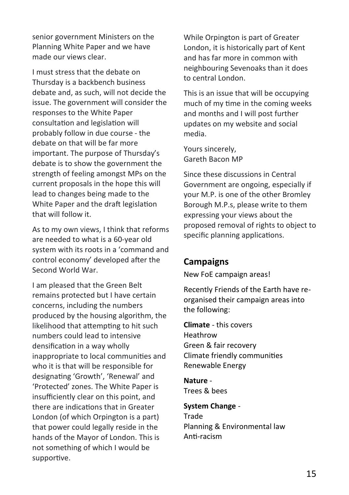senior government Ministers on the Planning White Paper and we have made our views clear.

I must stress that the debate on Thursday is a backbench business debate and, as such, will not decide the issue. The government will consider the responses to the White Paper consultation and legislation will probably follow in due course - the debate on that will be far more important. The purpose of Thursday's debate is to show the government the strength of feeling amongst MPs on the current proposals in the hope this will lead to changes being made to the White Paper and the draft legislation that will follow it.

As to my own views, I think that reforms are needed to what is a 60-year old system with its roots in a 'command and control economy' developed after the Second World War.

I am pleased that the Green Belt remains protected but I have certain concerns, including the numbers produced by the housing algorithm, the likelihood that attempting to hit such numbers could lead to intensive densification in a way wholly inappropriate to local communities and who it is that will be responsible for designating 'Growth', 'Renewal' and 'Protected' zones. The White Paper is insufficiently clear on this point, and there are indications that in Greater London (of which Orpington is a part) that power could legally reside in the hands of the Mayor of London. This is not something of which I would be supportive.

While Orpington is part of Greater London, it is historically part of Kent and has far more in common with neighbouring Sevenoaks than it does to central London.

This is an issue that will be occupying much of my time in the coming weeks and months and I will post further updates on my website and social media.

Yours sincerely, Gareth Bacon MP

Since these discussions in Central Government are ongoing, especially if your M.P. is one of the other Bromley Borough M.P.s, please write to them expressing your views about the proposed removal of rights to object to specific planning applications.

## **Campaigns**

New FoE campaign areas!

Recently Friends of the Earth have reorganised their campaign areas into the following:

**Climate** - this covers Heathrow Green & fair recovery Climate friendly communities Renewable Energy

**Nature** - Trees & bees

**System Change** - Trade Planning & Environmental law Anti-racism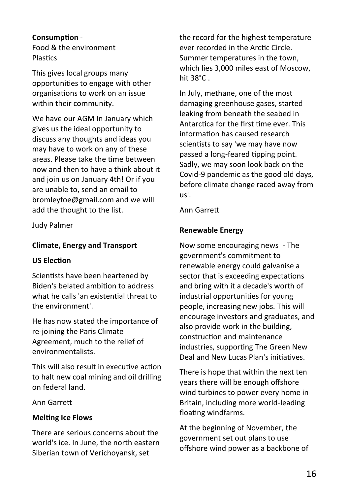#### **Consumption** -

Food & the environment **Plastics** 

This gives local groups many opportunities to engage with other organisations to work on an issue within their community.

We have our AGM In January which gives us the ideal opportunity to discuss any thoughts and ideas you may have to work on any of these areas. Please take the time between now and then to have a think about it and join us on January 4th! Or if you are unable to, send an email to [bromleyfoe@gmail.com](mailto:bromleyfoe@gmaiil.com) and we will add the thought to the list.

Judy Palmer

#### **Climate, Energy and Transport**

#### **US Election**

Scientists have been heartened by Biden's belated ambition to address what he calls 'an existential threat to the environment'.

He has now stated the importance of re-joining the Paris Climate Agreement, much to the relief of environmentalists.

This will also result in executive action to halt new coal mining and oil drilling on federal land.

Ann Garrett

#### **Melting Ice Flows**

There are serious concerns about the world's ice. In June, the north eastern Siberian town of Verichoyansk, set

the record for the highest temperature ever recorded in the Arctic Circle. Summer temperatures in the town, which lies 3,000 miles east of Moscow, hit 38°C .

In July, methane, one of the most damaging greenhouse gases, started leaking from beneath the seabed in Antarctica for the first time ever. This information has caused research scientists to say 'we may have now passed a long-feared tipping point. Sadly, we may soon look back on the Covid-9 pandemic as the good old days, before climate change raced away from us'.

Ann Garrett

#### **Renewable Energy**

Now some encouraging news - The government's commitment to renewable energy could galvanise a sector that is exceeding expectations and bring with it a decade's worth of industrial opportunities for young people, increasing new jobs. This will encourage investors and graduates, and also provide work in the building, construction and maintenance industries, supporting The Green New Deal and New Lucas Plan's initiatives.

There is hope that within the next ten years there will be enough offshore wind turbines to power every home in Britain, including more world-leading floating windfarms.

At the beginning of November, the government set out plans to use offshore wind power as a backbone of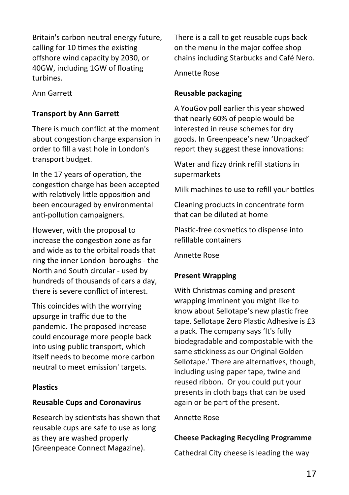Britain's carbon neutral energy future, calling for 10 times the existing offshore wind capacity by 2030, or 40GW, including 1GW of floating turbines.

Ann Garrett

#### **Transport by Ann Garrett**

There is much conflict at the moment about congestion charge expansion in order to fill a vast hole in London's transport budget.

In the 17 years of operation, the congestion charge has been accepted with relatively little opposition and been encouraged by environmental anti-pollution campaigners.

However, with the proposal to increase the congestion zone as far and wide as to the orbital roads that ring the inner London boroughs - the North and South circular - used by hundreds of thousands of cars a day, there is severe conflict of interest.

This coincides with the worrying upsurge in traffic due to the pandemic. The proposed increase could encourage more people back into using public transport, which itself needs to become more carbon neutral to meet emission' targets.

#### **Plastics**

#### **Reusable Cups and Coronavirus**

Research by scientists has shown that reusable cups are safe to use as long as they are washed properly (Greenpeace Connect Magazine).

There is a call to get reusable cups back on the menu in the major coffee shop chains including Starbucks and Café Nero.

Annette Rose

#### **Reusable packaging**

A YouGov poll earlier this year showed that nearly 60% of people would be interested in reuse schemes for dry goods. In Greenpeace's new 'Unpacked' report they suggest these innovations:

Water and fizzy drink refill stations in supermarkets

Milk machines to use to refill your bottles

Cleaning products in concentrate form that can be diluted at home

Plastic-free cosmetics to dispense into refillable containers

Annette Rose

#### **Present Wrapping**

With Christmas coming and present wrapping imminent you might like to know about Sellotape's new plastic free tape. Sellotape Zero Plastic Adhesive is £3 a pack. The company says 'It's fully biodegradable and compostable with the same stickiness as our Original Golden Sellotape.' There are alternatives, though, including using paper tape, twine and reused ribbon. Or you could put your presents in cloth bags that can be used again or be part of the present.

#### Annette Rose

#### **Cheese Packaging Recycling Programme**

Cathedral City cheese is leading the way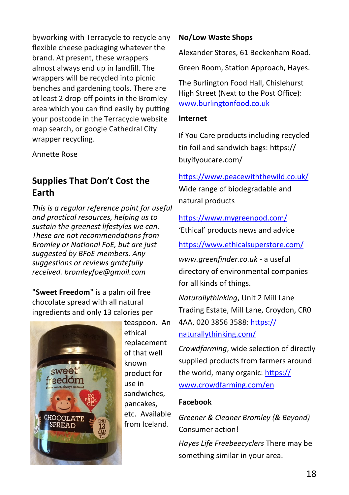byworking with Terracycle to recycle any flexible cheese packaging whatever the brand. At present, these wrappers almost always end up in landfill. The wrappers will be recycled into picnic benches and gardening tools. There are at least 2 drop-off points in the Bromley area which you can find easily by putting your postcode in the Terracycle website map search, or google Cathedral City wrapper recycling.

Annette Rose

## **Supplies That Don't Cost the Earth**

*This is a regular reference point for useful and practical resources, helping us to sustain the greenest lifestyles we can. These are not recommendations from Bromley or National FoE, but are just suggested by BFoE members. Any suggestions or reviews gratefully received. bromleyfoe@gmail.com*

**"Sweet Freedom"** is a palm oil free chocolate spread with all natural ingredients and only 13 calories per



teaspoon. An ethical replacement of that well known product for use in sandwiches, pancakes, etc. Available from Iceland.

#### **No/Low Waste Shops**

Alexander Stores, 61 Beckenham Road.

Green Room, Station Approach, Hayes.

The Burlington Food Hall, Chislehurst High Street (Next to the Post Office): [www.burlingtonfood.co.uk](http://www.burlingtonfood.co.uk)

#### **Internet**

If You Care products including recycled tin foil and sandwich bags: https:// buyifyoucare.com/

# <https://www.peacewiththewild.co.uk/> Wide range of biodegradable and natural products

<https://www.mygreenpod.com/> 'Ethical' products news and advice

<https://www.ethicalsuperstore.com/>

*www.greenfinder.co.uk* - a useful directory of environmental companies for all kinds of things.

*[Naturallythinking](https://www.facebook.com/Naturallythinking/)*, Unit 2 Mill Lane Trading Estate, Mill Lane, Croydon, CR0 4AA, 020 3856 3588: [https://](https://naturallythinking.com/) [naturallythinking.com/](https://naturallythinking.com/)

*Crowdfarming*, wide selection of directly supplied products from farmers around the world, many organic: [https://](https://www.crowdfarming.com/en) [www.crowdfarming.com/en](https://www.crowdfarming.com/en)

#### **Facebook**

*Greener & Cleaner Bromley (& Beyond)*  Consumer action! *Hayes Life Freebeecyclers* There may be

something similar in your area.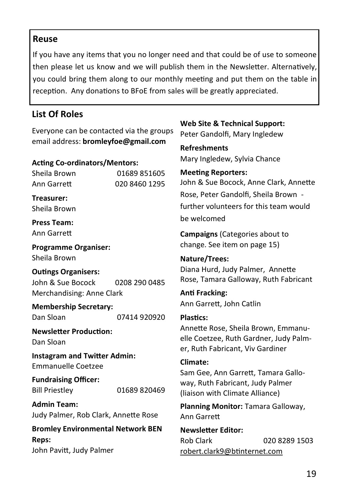#### **Reuse**

If you have any items that you no longer need and that could be of use to someone then please let us know and we will publish them in the Newsletter. Alternatively, you could bring them along to our monthly meeting and put them on the table in reception. Any donations to BFoE from sales will be greatly appreciated.

# **List Of Roles**

Everyone can be contacted via the groups email address: **bromleyfoe@gmail.com**

#### **Acting Co-ordinators/Mentors:**

Sheila Brown 01689 851605 Ann Garrett 020 8460 1295

**Treasurer:** Sheila Brown

**Press Team:** Ann Garrett

**Programme Organiser:** Sheila Brown

#### **Outings Organisers:** John & Sue Bocock 0208 290 0485 Merchandising: Anne Clark

**Membership Secretary:** Dan Sloan 07414 920920

**Newsletter Production:**  Dan Sloan

**Instagram and Twitter Admin:**  Emmanuelle Coetzee

**Fundraising Officer:** Bill Priestley 01689 820469

**Admin Team:** Judy Palmer, Rob Clark, Annette Rose

**Bromley Environmental Network BEN Reps:** John Pavitt, Judy Palmer

**Web Site & Technical Support:** Peter Gandolfi, Mary Ingledew

**Refreshments**  Mary Ingledew, Sylvia Chance

**Meeting Reporters:**  John & Sue Bocock, Anne Clark, Annette Rose, Peter Gandolfi, Sheila Brown further volunteers for this team would be welcomed

**Campaigns** (Categories about to change. See item on page 15)

**Nature/Trees:**  Diana Hurd, Judy Palmer, Annette Rose, Tamara Galloway, Ruth Fabricant

**Anti Fracking:**  Ann Garrett, John Catlin

#### **Plastics:**

Annette Rose, Sheila Brown, Emmanuelle Coetzee, Ruth Gardner, Judy Palmer, Ruth Fabricant, Viv Gardiner

# **Climate:**

Sam Gee, Ann Garrett, Tamara Galloway, Ruth Fabricant, Judy Palmer (liaison with Climate Alliance)

**Planning Monitor:** Tamara Galloway, Ann Garrett

**Newsletter Editor:** Rob Clark 020 8289 1503 [robert.clark9@btinternet.com](mailto:robert.clark9@btinternet.com)